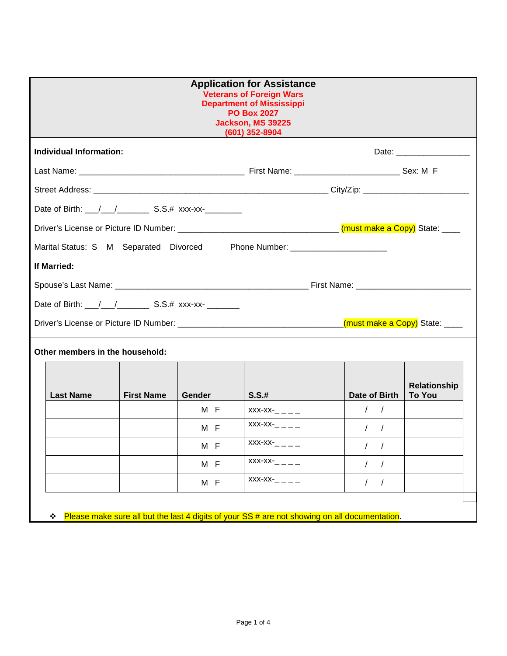| <b>Application for Assistance</b><br><b>Veterans of Foreign Wars</b><br><b>Department of Mississippi</b><br><b>PO Box 2027</b><br>Jackson, MS 39225<br>(601) 352-8904 |               |                 |                        |                                      |  |
|-----------------------------------------------------------------------------------------------------------------------------------------------------------------------|---------------|-----------------|------------------------|--------------------------------------|--|
| <b>Individual Information:</b>                                                                                                                                        |               |                 |                        | Date: _____________________          |  |
|                                                                                                                                                                       |               |                 |                        |                                      |  |
|                                                                                                                                                                       |               |                 |                        |                                      |  |
|                                                                                                                                                                       |               |                 |                        |                                      |  |
|                                                                                                                                                                       |               |                 |                        |                                      |  |
| Marital Status: S M Separated Divorced Phone Number: ___________________________                                                                                      |               |                 |                        |                                      |  |
| If Married:                                                                                                                                                           |               |                 |                        |                                      |  |
|                                                                                                                                                                       |               |                 |                        |                                      |  |
|                                                                                                                                                                       |               |                 |                        |                                      |  |
|                                                                                                                                                                       |               |                 |                        |                                      |  |
| Other members in the household:                                                                                                                                       |               |                 |                        |                                      |  |
| <b>Last Name</b><br><b>First Name</b>                                                                                                                                 | <b>Gender</b> | S.S.#           | Date of Birth          | <b>Relationship</b><br><b>To You</b> |  |
|                                                                                                                                                                       | M F           | $XXX-XX-$       | $\frac{1}{2}$          |                                      |  |
|                                                                                                                                                                       | M F           | $XXX-XX   -$    | $\frac{1}{2}$          |                                      |  |
|                                                                                                                                                                       | M F           | $XXX-XX-$       | $\frac{1}{2}$          |                                      |  |
|                                                                                                                                                                       | M F           | $XXX-XX   -$    | $\prime$<br>$\sqrt{2}$ |                                      |  |
|                                                                                                                                                                       | M F           | $XXX-XX-$ - - - | $\prime$<br>$\sqrt{2}$ |                                      |  |
| Please make sure all but the last 4 digits of your SS # are not showing on all documentation.<br>❖                                                                    |               |                 |                        |                                      |  |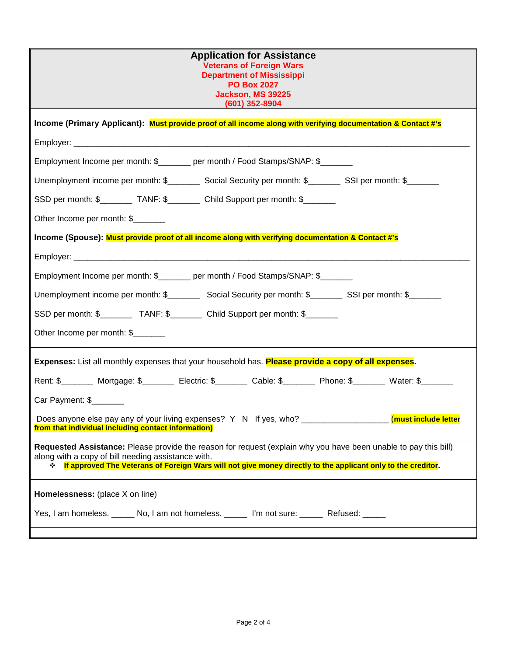| <b>Application for Assistance</b><br><b>Veterans of Foreign Wars</b><br><b>Department of Mississippi</b><br><b>PO Box 2027</b><br>Jackson, MS 39225<br>$(601)$ 352-8904                                                                                                                 |
|-----------------------------------------------------------------------------------------------------------------------------------------------------------------------------------------------------------------------------------------------------------------------------------------|
| Income (Primary Applicant): Must provide proof of all income along with verifying documentation & Contact #'s                                                                                                                                                                           |
|                                                                                                                                                                                                                                                                                         |
| Employment Income per month: \$_______ per month / Food Stamps/SNAP: \$_______                                                                                                                                                                                                          |
| Unemployment income per month: \$___________ Social Security per month: \$__________ SSI per month: \$________                                                                                                                                                                          |
| SSD per month: \$__________ TANF: \$__________ Child Support per month: \$________                                                                                                                                                                                                      |
| Other Income per month: \$                                                                                                                                                                                                                                                              |
| Income (Spouse): Must provide proof of all income along with verifying documentation & Contact #'s                                                                                                                                                                                      |
|                                                                                                                                                                                                                                                                                         |
| Employment Income per month: \$_______ per month / Food Stamps/SNAP: \$______                                                                                                                                                                                                           |
| Unemployment income per month: \$___________ Social Security per month: \$_________ SSI per month: \$_______                                                                                                                                                                            |
| SSD per month: \$____________ TANF: \$___________ Child Support per month: \$_______                                                                                                                                                                                                    |
| Other Income per month: \$                                                                                                                                                                                                                                                              |
| Expenses: List all monthly expenses that your household has. Please provide a copy of all expenses.                                                                                                                                                                                     |
| Rent: \$________ Mortgage: \$_______ Electric: \$_______ Cable: \$_______ Phone: \$______ Water: \$______                                                                                                                                                                               |
| Car Payment: \$                                                                                                                                                                                                                                                                         |
| Does anyone else pay any of your living expenses? Y N If yes, who? ______________<br>(must include letter<br>from that individual including contact information)                                                                                                                        |
| Requested Assistance: Please provide the reason for request (explain why you have been unable to pay this bill)<br>along with a copy of bill needing assistance with.<br>↓ If approved The Veterans of Foreign Wars will not give money directly to the applicant only to the creditor. |
| Homelessness: (place X on line)                                                                                                                                                                                                                                                         |
| Yes, I am homeless. ______ No, I am not homeless. ______ I'm not sure: ______ Refused: _____                                                                                                                                                                                            |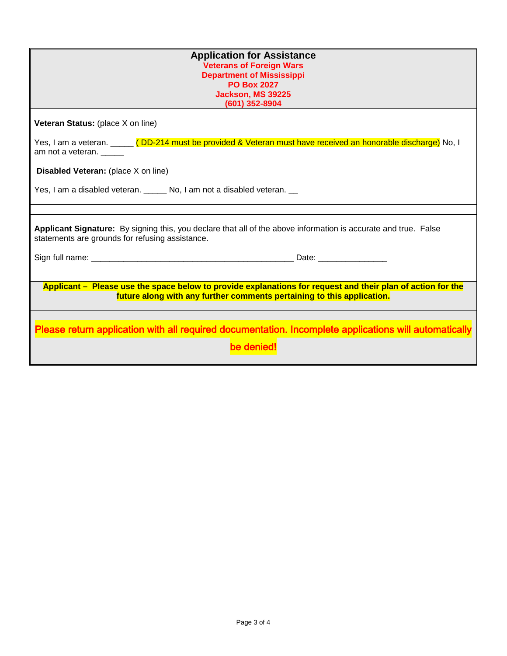| <b>Application for Assistance</b><br><b>Veterans of Foreign Wars</b><br><b>Department of Mississippi</b><br><b>PO Box 2027</b><br>Jackson, MS 39225<br>(601) 352-8904                 |  |  |
|---------------------------------------------------------------------------------------------------------------------------------------------------------------------------------------|--|--|
|                                                                                                                                                                                       |  |  |
| Veteran Status: (place X on line)                                                                                                                                                     |  |  |
| Yes, I am a veteran. _____ (DD-214 must be provided & Veteran must have received an honorable discharge) No, I<br>am not a veteran. _____                                             |  |  |
| <b>Disabled Veteran:</b> (place X on line)                                                                                                                                            |  |  |
| Yes, I am a disabled veteran. _______ No, I am not a disabled veteran. __                                                                                                             |  |  |
|                                                                                                                                                                                       |  |  |
| Applicant Signature: By signing this, you declare that all of the above information is accurate and true. False<br>statements are grounds for refusing assistance.                    |  |  |
|                                                                                                                                                                                       |  |  |
|                                                                                                                                                                                       |  |  |
| Applicant – Please use the space below to provide explanations for request and their plan of action for the<br>future along with any further comments pertaining to this application. |  |  |
| Please return application with all required documentation. Incomplete applications will automatically                                                                                 |  |  |
| be denied!                                                                                                                                                                            |  |  |
|                                                                                                                                                                                       |  |  |